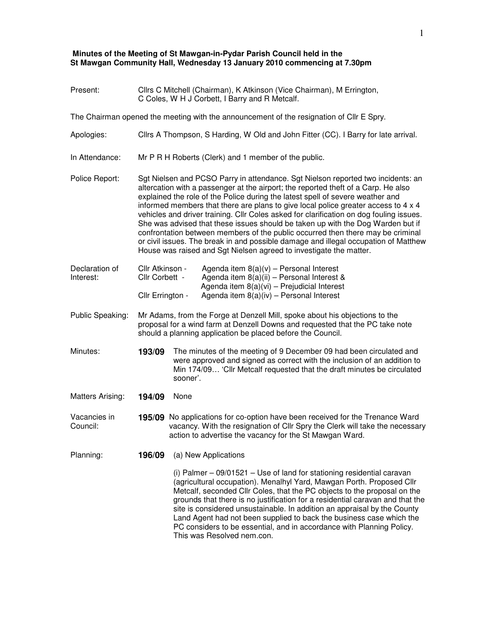## **Minutes of the Meeting of St Mawgan-in-Pydar Parish Council held in the St Mawgan Community Hall, Wednesday 13 January 2010 commencing at 7.30pm**

| Present:                    | Cllrs C Mitchell (Chairman), K Atkinson (Vice Chairman), M Errington,<br>C Coles, W H J Corbett, I Barry and R Metcalf.                                                                                                                                                                                                                                                                                                                                                                                                                                                                                                                                                                                                                                                      |  |  |  |
|-----------------------------|------------------------------------------------------------------------------------------------------------------------------------------------------------------------------------------------------------------------------------------------------------------------------------------------------------------------------------------------------------------------------------------------------------------------------------------------------------------------------------------------------------------------------------------------------------------------------------------------------------------------------------------------------------------------------------------------------------------------------------------------------------------------------|--|--|--|
|                             | The Chairman opened the meeting with the announcement of the resignation of Cllr E Spry.                                                                                                                                                                                                                                                                                                                                                                                                                                                                                                                                                                                                                                                                                     |  |  |  |
| Apologies:                  | Cllrs A Thompson, S Harding, W Old and John Fitter (CC). I Barry for late arrival.                                                                                                                                                                                                                                                                                                                                                                                                                                                                                                                                                                                                                                                                                           |  |  |  |
| In Attendance:              | Mr P R H Roberts (Clerk) and 1 member of the public.                                                                                                                                                                                                                                                                                                                                                                                                                                                                                                                                                                                                                                                                                                                         |  |  |  |
| Police Report:              | Sgt Nielsen and PCSO Parry in attendance. Sgt Nielson reported two incidents: an<br>altercation with a passenger at the airport; the reported theft of a Carp. He also<br>explained the role of the Police during the latest spell of severe weather and<br>informed members that there are plans to give local police greater access to 4 x 4<br>vehicles and driver training. Cllr Coles asked for clarification on dog fouling issues.<br>She was advised that these issues should be taken up with the Dog Warden but if<br>confrontation between members of the public occurred then there may be criminal<br>or civil issues. The break in and possible damage and illegal occupation of Matthew<br>House was raised and Sgt Nielsen agreed to investigate the matter. |  |  |  |
| Declaration of<br>Interest: | Cllr Atkinson -<br>Agenda item $8(a)(v)$ – Personal Interest<br>Agenda item 8(a)(ii) - Personal Interest &<br>Cllr Corbett -<br>Agenda item 8(a)(vi) - Prejudicial Interest<br>Agenda item $8(a)(iv)$ – Personal Interest<br>Cllr Errington -                                                                                                                                                                                                                                                                                                                                                                                                                                                                                                                                |  |  |  |
| Public Speaking:            | Mr Adams, from the Forge at Denzell Mill, spoke about his objections to the<br>proposal for a wind farm at Denzell Downs and requested that the PC take note<br>should a planning application be placed before the Council.                                                                                                                                                                                                                                                                                                                                                                                                                                                                                                                                                  |  |  |  |
| Minutes:                    | 193/09<br>The minutes of the meeting of 9 December 09 had been circulated and<br>were approved and signed as correct with the inclusion of an addition to<br>Min 174/09 'Cllr Metcalf requested that the draft minutes be circulated<br>sooner'.                                                                                                                                                                                                                                                                                                                                                                                                                                                                                                                             |  |  |  |
| Matters Arising:            | None<br>194/09                                                                                                                                                                                                                                                                                                                                                                                                                                                                                                                                                                                                                                                                                                                                                               |  |  |  |
| Vacancies in<br>Council:    | 195/09 No applications for co-option have been received for the Trenance Ward<br>vacancy. With the resignation of Cllr Spry the Clerk will take the necessary<br>action to advertise the vacancy for the St Mawgan Ward.                                                                                                                                                                                                                                                                                                                                                                                                                                                                                                                                                     |  |  |  |
| Planning:                   | 196/09<br>(a) New Applications                                                                                                                                                                                                                                                                                                                                                                                                                                                                                                                                                                                                                                                                                                                                               |  |  |  |
|                             | (i) Palmer - 09/01521 - Use of land for stationing residential caravan<br>(agricultural occupation). Menalhyl Yard, Mawgan Porth. Proposed Cllr<br>Metcalf, seconded Cllr Coles, that the PC objects to the proposal on the<br>grounds that there is no justification for a residential caravan and that the<br>site is considered unsustainable. In addition an appraisal by the County<br>Land Agent had not been supplied to back the business case which the<br>PC considers to be essential, and in accordance with Planning Policy.<br>This was Resolved nem.con.                                                                                                                                                                                                      |  |  |  |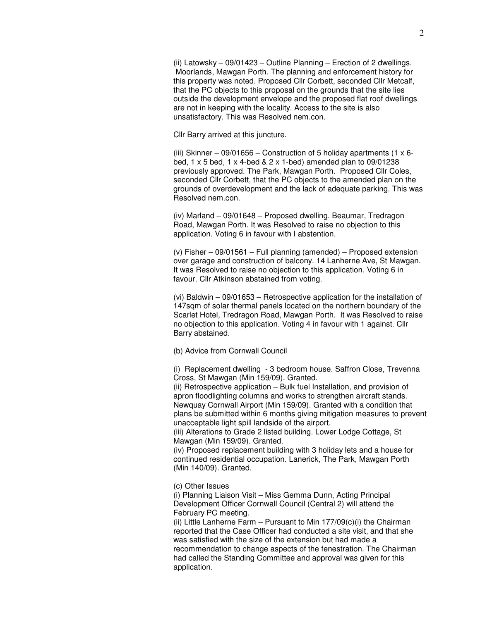(ii) Latowsky – 09/01423 – Outline Planning – Erection of 2 dwellings. Moorlands, Mawgan Porth. The planning and enforcement history for this property was noted. Proposed Cllr Corbett, seconded Cllr Metcalf, that the PC objects to this proposal on the grounds that the site lies outside the development envelope and the proposed flat roof dwellings are not in keeping with the locality. Access to the site is also unsatisfactory. This was Resolved nem.con.

Cllr Barry arrived at this juncture.

(iii) Skinner – 09/01656 – Construction of 5 holiday apartments (1  $\times$  6bed, 1 x 5 bed, 1 x 4-bed & 2 x 1-bed) amended plan to 09/01238 previously approved. The Park, Mawgan Porth. Proposed Cllr Coles, seconded Cllr Corbett, that the PC objects to the amended plan on the grounds of overdevelopment and the lack of adequate parking. This was Resolved nem.con.

(iv) Marland – 09/01648 – Proposed dwelling. Beaumar, Tredragon Road, Mawgan Porth. It was Resolved to raise no objection to this application. Voting 6 in favour with I abstention.

(v) Fisher – 09/01561 – Full planning (amended) – Proposed extension over garage and construction of balcony. 14 Lanherne Ave, St Mawgan. It was Resolved to raise no objection to this application. Voting 6 in favour. Cllr Atkinson abstained from voting.

(vi) Baldwin – 09/01653 – Retrospective application for the installation of 147sqm of solar thermal panels located on the northern boundary of the Scarlet Hotel, Tredragon Road, Mawgan Porth. It was Resolved to raise no objection to this application. Voting 4 in favour with 1 against. Cllr Barry abstained.

## (b) Advice from Cornwall Council

(i) Replacement dwelling - 3 bedroom house. Saffron Close, Trevenna Cross, St Mawgan (Min 159/09). Granted.

(ii) Retrospective application – Bulk fuel Installation, and provision of apron floodlighting columns and works to strengthen aircraft stands. Newquay Cornwall Airport (Min 159/09). Granted with a condition that plans be submitted within 6 months giving mitigation measures to prevent unacceptable light spill landside of the airport.

(iii) Alterations to Grade 2 listed building. Lower Lodge Cottage, St Mawgan (Min 159/09). Granted.

(iv) Proposed replacement building with 3 holiday lets and a house for continued residential occupation. Lanerick, The Park, Mawgan Porth (Min 140/09). Granted.

(c) Other Issues

(i) Planning Liaison Visit – Miss Gemma Dunn, Acting Principal Development Officer Cornwall Council (Central 2) will attend the February PC meeting.

(ii) Little Lanherne Farm – Pursuant to Min  $177/09(c)(i)$  the Chairman reported that the Case Officer had conducted a site visit, and that she was satisfied with the size of the extension but had made a recommendation to change aspects of the fenestration. The Chairman

had called the Standing Committee and approval was given for this application.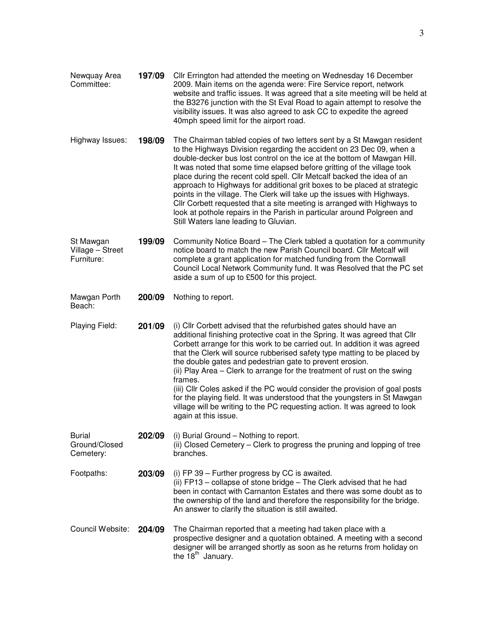| Newquay Area<br>Committee:                  | 197/09 | Cllr Errington had attended the meeting on Wednesday 16 December<br>2009. Main items on the agenda were: Fire Service report, network<br>website and traffic issues. It was agreed that a site meeting will be held at<br>the B3276 junction with the St Eval Road to again attempt to resolve the<br>visibility issues. It was also agreed to ask CC to expedite the agreed<br>40mph speed limit for the airport road.                                                                                                                                                                                                                                                                                                              |  |  |
|---------------------------------------------|--------|--------------------------------------------------------------------------------------------------------------------------------------------------------------------------------------------------------------------------------------------------------------------------------------------------------------------------------------------------------------------------------------------------------------------------------------------------------------------------------------------------------------------------------------------------------------------------------------------------------------------------------------------------------------------------------------------------------------------------------------|--|--|
| Highway Issues:                             | 198/09 | The Chairman tabled copies of two letters sent by a St Mawgan resident<br>to the Highways Division regarding the accident on 23 Dec 09, when a<br>double-decker bus lost control on the ice at the bottom of Mawgan Hill.<br>It was noted that some time elapsed before gritting of the village took<br>place during the recent cold spell. Cllr Metcalf backed the idea of an<br>approach to Highways for additional grit boxes to be placed at strategic<br>points in the village. The Clerk will take up the issues with Highways.<br>Cllr Corbett requested that a site meeting is arranged with Highways to<br>look at pothole repairs in the Parish in particular around Polgreen and<br>Still Waters lane leading to Gluvian. |  |  |
| St Mawgan<br>Village - Street<br>Furniture: | 199/09 | Community Notice Board – The Clerk tabled a quotation for a community<br>notice board to match the new Parish Council board. Cllr Metcalf will<br>complete a grant application for matched funding from the Cornwall<br>Council Local Network Community fund. It was Resolved that the PC set<br>aside a sum of up to £500 for this project.                                                                                                                                                                                                                                                                                                                                                                                         |  |  |
| Mawgan Porth<br>Beach:                      | 200/09 | Nothing to report.                                                                                                                                                                                                                                                                                                                                                                                                                                                                                                                                                                                                                                                                                                                   |  |  |
| Playing Field:                              | 201/09 | (i) Cllr Corbett advised that the refurbished gates should have an<br>additional finishing protective coat in the Spring. It was agreed that Cllr<br>Corbett arrange for this work to be carried out. In addition it was agreed<br>that the Clerk will source rubberised safety type matting to be placed by<br>the double gates and pedestrian gate to prevent erosion.<br>(ii) Play Area – Clerk to arrange for the treatment of rust on the swing<br>frames.<br>(iii) Cllr Coles asked if the PC would consider the provision of goal posts<br>for the playing field. It was understood that the youngsters in St Mawgan<br>village will be writing to the PC requesting action. It was agreed to look<br>again at this issue.    |  |  |
| <b>Burial</b><br>Ground/Closed<br>Cemetery: | 202/09 | (i) Burial Ground – Nothing to report.<br>(ii) Closed Cemetery – Clerk to progress the pruning and lopping of tree<br>branches.                                                                                                                                                                                                                                                                                                                                                                                                                                                                                                                                                                                                      |  |  |
| Footpaths:                                  | 203/09 | (i) FP 39 $-$ Further progress by CC is awaited.<br>(ii) FP13 - collapse of stone bridge - The Clerk advised that he had<br>been in contact with Carnanton Estates and there was some doubt as to<br>the ownership of the land and therefore the responsibility for the bridge.<br>An answer to clarify the situation is still awaited.                                                                                                                                                                                                                                                                                                                                                                                              |  |  |
| Council Website:                            | 204/09 | The Chairman reported that a meeting had taken place with a<br>prospective designer and a quotation obtained. A meeting with a second<br>designer will be arranged shortly as soon as he returns from holiday on<br>the 18 <sup>th</sup> January.                                                                                                                                                                                                                                                                                                                                                                                                                                                                                    |  |  |